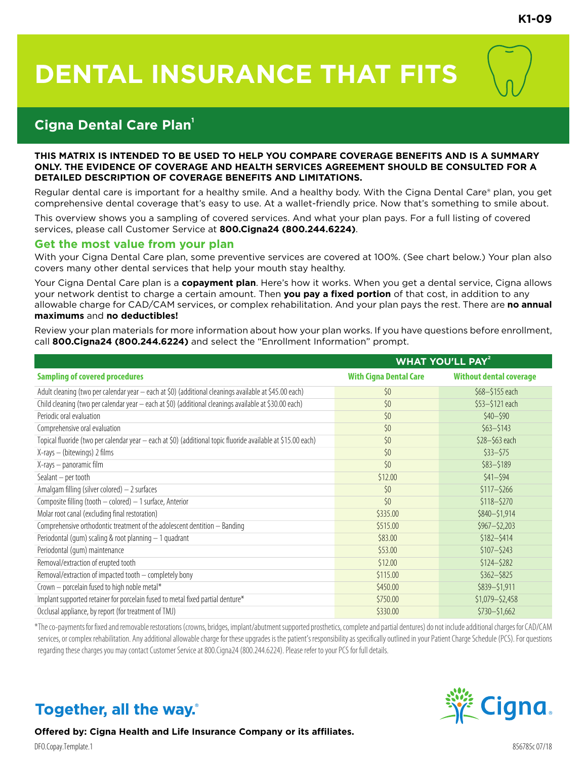# **Cigna Dental Care Plan<sup>1</sup>**

#### **THIS MATRIX IS INTENDED TO BE USED TO HELP YOU COMPARE COVERAGE BENEFITS AND IS A SUMMARY ONLY. THE EVIDENCE OF COVERAGE AND HEALTH SERVICES AGREEMENT SHOULD BE CONSULTED FOR A DETAILED DESCRIPTION OF COVERAGE BENEFITS AND LIMITATIONS.**

Regular dental care is important for a healthy smile. And a healthy body. With the Cigna Dental Care® plan, you get comprehensive dental coverage that's easy to use. At a wallet-friendly price. Now that's something to smile about.

This overview shows you a sampling of covered services. And what your plan pays. For a full listing of covered services, please call Customer Service at **800.Cigna24 (800.244.6224)**.

#### **Get the most value from your plan**

With your Cigna Dental Care plan, some preventive services are covered at 100%. (See chart below.) Your plan also covers many other dental services that help your mouth stay healthy.

Your Cigna Dental Care plan is a **copayment plan**. Here's how it works. When you get a dental service, Cigna allows your network dentist to charge a certain amount. Then **you pay a fixed portion** of that cost, in addition to any allowable charge for CAD/CAM services, or complex rehabilitation. And your plan pays the rest. There are **no annual maximums** and **no deductibles!**

Review your plan materials for more information about how your plan works. If you have questions before enrollment, call **800.Cigna24 (800.244.6224)** and select the "Enrollment Information" prompt.

|                                                                                                                 | <b>WHAT YOU'LL PAY<sup>2</sup></b> |                                |
|-----------------------------------------------------------------------------------------------------------------|------------------------------------|--------------------------------|
| <b>Sampling of covered procedures</b>                                                                           | <b>With Cigna Dental Care</b>      | <b>Without dental coverage</b> |
| Adult cleaning (two per calendar year - each at \$0) (additional cleanings available at \$45.00 each)           | \$0                                | \$68-\$155 each                |
| Child cleaning (two per calendar year - each at \$0) (additional cleanings available at \$30.00 each)           | \$0                                | \$53-\$121 each                |
| Periodic oral evaluation                                                                                        | \$0                                | $$40 - $90$                    |
| Comprehensive oral evaluation                                                                                   | \$0                                | $$63 - $143$                   |
| (additional fluoride (two per calendar year - each at \$0) (additional topic fluoride available at \$15.00 each | \$0                                | \$28-\$63 each                 |
| X-rays - (bitewings) 2 films                                                                                    | \$0                                | $$33 - $75$                    |
| X-rays - panoramic film                                                                                         | \$0                                | $$83 - $189$                   |
| Sealant - per tooth                                                                                             | \$12.00                            | $$41 - $94$                    |
| Amalgam filling (silver colored) $-2$ surfaces                                                                  | \$0                                | $$117 - $266$                  |
| Composite filling (tooth - colored) - 1 surface, Anterior                                                       | \$0                                | $$118 - $270$                  |
| Molar root canal (excluding final restoration)                                                                  | \$335.00                           | \$840-\$1,914                  |
| Comprehensive orthodontic treatment of the adolescent dentition - Banding                                       | \$515.00                           | $$967 - $2,203$                |
| Periodontal (qum) scaling & root planning - 1 quadrant                                                          | \$83.00                            | $$182 - $414$                  |
| Periodontal (qum) maintenance                                                                                   | \$53.00                            | $$107 - $243$                  |
| Removal/extraction of erupted tooth                                                                             | \$12.00                            | \$124-\$282                    |
| Removal/extraction of impacted tooth - completely bony                                                          | \$115.00                           | $$362 - $825$                  |
| Crown - porcelain fused to high noble metal*                                                                    | \$450.00                           | \$839-\$1,911                  |
| Implant supported retainer for porcelain fused to metal fixed partial denture*                                  | \$750.00                           | $$1,079 - $2,458$              |
| Occlusal appliance, by report (for treatment of TMJ)                                                            | \$330.00                           | \$730-\$1,662                  |

\*The co-payments for fixed and removable restorations (crowns, bridges, implant/abutment supported prosthetics, complete and partial dentures) do not include additional charges for CAD/CAM services, or complex rehabilitation. Any additional allowable charge for these upgrades is the patient's responsibility as specifically outlined in your Patient Charge Schedule (PCS). For questions regarding these charges you may contact Customer Service at 800.Cigna24 (800.244.6224). Please refer to your PCS for full details.

# Together, all the way.



**Offered by: Cigna Health and Life Insurance Company or its affiliates.**

DFO.Copay.Template.1 856785c 07/18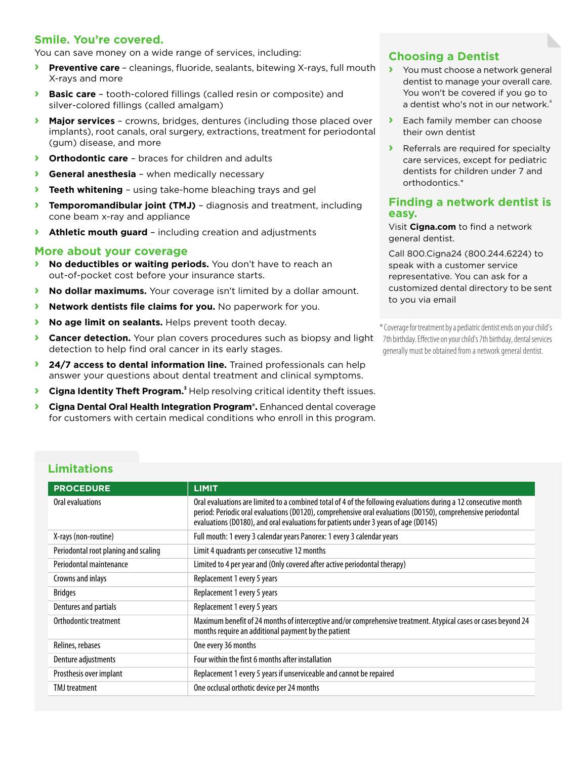# **Smile. You're covered.**

You can save money on a wide range of services, including:

- **› Preventive care** cleanings, fluoride, sealants, bitewing X-rays, full mouth X-rays and more
- **› Basic care** tooth-colored fillings (called resin or composite) and silver-colored fillings (called amalgam)
- **› Major services** crowns, bridges, dentures (including those placed over implants), root canals, oral surgery, extractions, treatment for periodontal (gum) disease, and more
- **› Orthodontic care** braces for children and adults
- **› General anesthesia** when medically necessary
- **› Teeth whitening** using take-home bleaching trays and gel
- **› Temporomandibular joint (TMJ)** diagnosis and treatment, including cone beam x-ray and appliance
- **› Athletic mouth guard** including creation and adjustments

#### **More about your coverage**

- **› No deductibles or waiting periods.** You don't have to reach an out-of-pocket cost before your insurance starts.
- **› No dollar maximums.** Your coverage isn't limited by a dollar amount.
- **› Network dentists file claims for you.** No paperwork for you.
- **› No age limit on sealants.** Helps prevent tooth decay.
- **› Cancer detection.** Your plan covers procedures such as biopsy and light detection to help find oral cancer in its early stages.
- **› 24/7 access to dental information line.** Trained professionals can help answer your questions about dental treatment and clinical symptoms.
- **>** Cigna Identity Theft Program.<sup>3</sup> Help resolving critical identity theft issues.
- **› Cigna Dental Oral Health Integration Program®.** Enhanced dental coverage for customers with certain medical conditions who enroll in this program.

## **Choosing a Dentist**

- **›** You must choose a network general dentist to manage your overall care. You won't be covered if you go to a dentist who's not in our network.<sup>4</sup>
- **›** Each family member can choose their own dentist
- **›** Referrals are required for specialty care services, except for pediatric dentists for children under 7 and orthodontics.\*

#### **Finding a network dentist is easy.**

Visit **Cigna.com** to find a network general dentist.

Call 800.Cigna24 (800.244.6224) to speak with a customer service representative. You can ask for a customized dental directory to be sent to you via email

\* Coverage for treatment by a pediatric dentist ends on your child's 7th birthday. Effective on your child's 7th birthday, dental services generally must be obtained from a network general dentist.

#### **PROCEDURE LIMIT** Oral evaluations are limited to a combined total of 4 of the following evaluations during a 12 consecutive month period: Periodic oral evaluations (D0120), comprehensive oral evaluations (D0150), comprehensive periodontal evaluations (D0180), and oral evaluations for patients under 3 years of age (D0145) Oral evaluations X-rays (non-routine) Full mouth: 1 every 3 calendar years Panorex: 1 every 3 calendar years Periodontal root planing and scaling Fig. 2.1 Limit 4 quadrants per consecutive 12 months Periodontal maintenance Limited to 4 per year and (Only covered after active periodontal therapy) Crowns and inlays **Replacement 1 every 5 years** Bridges Replacement 1 every 5 years Dentures and partials **Replacement 1 every 5 years** Maximum benefit of 24 months of interceptive and/or comprehensive treatment. Atypical cases or cases beyond 24 months require an additional payment by the patient Orthodontic treatment Relines, rebases **National Exercise Cone every 36 months** Denture adjustments **Four within the first 6 months after installation** Prosthesis over implant **Replacement 1 every 5 years if unserviceable and cannot be repaired** TMJ treatment **COLUTE:** One occlusal orthotic device per 24 months

# **Limitations**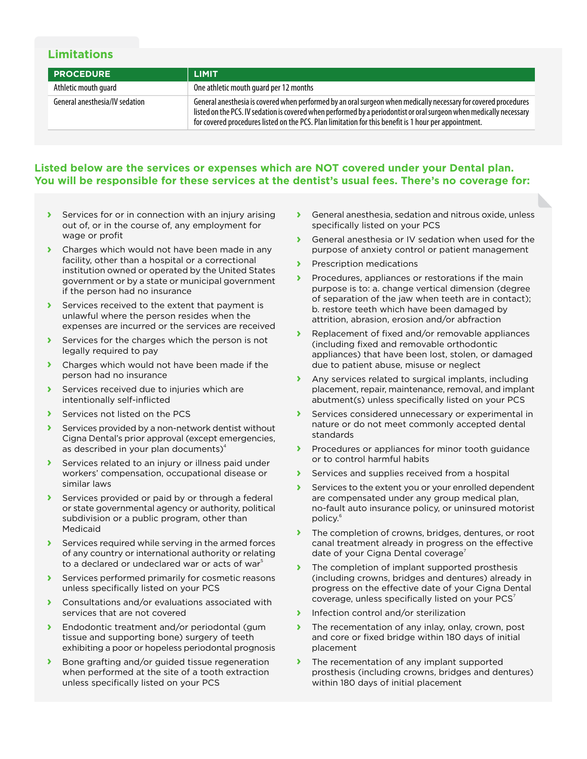# **Limitations**

| <b>PROCEDURE</b>               | <b>LIMIT</b>                                                                                                                                                                                                                                                                                                                                    |
|--------------------------------|-------------------------------------------------------------------------------------------------------------------------------------------------------------------------------------------------------------------------------------------------------------------------------------------------------------------------------------------------|
| Athletic mouth quard           | One athletic mouth guard per 12 months                                                                                                                                                                                                                                                                                                          |
| General anesthesia/IV sedation | General anesthesia is covered when performed by an oral surgeon when medically necessary for covered procedures<br>listed on the PCS. IV sedation is covered when performed by a periodontist or oral surgeon when medically necessary<br>for covered procedures listed on the PCS. Plan limitation for this benefit is 1 hour per appointment. |

## **Listed below are the services or expenses which are NOT covered under your Dental plan. You will be responsible for these services at the dentist's usual fees. There's no coverage for:**

- **›** Services for or in connection with an injury arising out of, or in the course of, any employment for
- facility, other than a hospital or a correctional institution owned or operated by the United States government or by a state or municipal government if the person had no insurance
- **›** Services received to the extent that payment is unlawful where the person resides when the expenses are incurred or the services are received
- **›** Services for the charges which the person is not legally required to pay
- **›** Charges which would not have been made if the person had no insurance
- **›** Services received due to injuries which are intentionally self-inflicted
- Services not listed on the PCS
- **›** Services provided by a non-network dentist without Cigna Dental's prior approval (except emergencies, as described in your plan documents) 4
- **>** Services related to an injury or illness paid under workers' compensation, occupational disease or similar laws
- **›** Services provided or paid by or through a federal or state governmental agency or authority, political subdivision or a public program, other than
- **›** Services required while serving in the armed forces of any country or international authority or relating to a declared or undeclared war or acts of war<sup>5</sup>
- **›** Services performed primarily for cosmetic reasons unless specifically listed on your PCS
- **›** Consultations and/or evaluations associated with
- **›** Endodontic treatment and/or periodontal (gum **›** tissue and supporting bone) surgery of teeth exhibiting a poor or hopeless periodontal prognosis
- **>** Bone grafting and/or guided tissue regeneration **>** The recementation of any implant supported when performed at the site of a tooth extraction unless specifically listed on your PCS
- **›** General anesthesia, sedation and nitrous oxide, unless specifically listed on your PCS
- wage or profit **›** General anesthesia or IV sedation when used for the **I** Charges which would not have been made in any purpose of anxiety control or patient management
	- **›** Prescription medications
	- **›** Procedures, appliances or restorations if the main purpose is to: a. change vertical dimension (degree of separation of the jaw when teeth are in contact); b. restore teeth which have been damaged by attrition, abrasion, erosion and/or abfraction
	- **›** Replacement of fixed and/or removable appliances (including fixed and removable orthodontic appliances) that have been lost, stolen, or damaged due to patient abuse, misuse or neglect
	- **›** Any services related to surgical implants, including placement, repair, maintenance, removal, and implant abutment(s) unless specifically listed on your PCS
- **› ›** Services considered unnecessary or experimental in nature or do not meet commonly accepted dental standards
	- **›** Procedures or appliances for minor tooth guidance
	- **›** Services and supplies received from a hospital
	- **›** Services to the extent you or your enrolled dependent are compensated under any group medical plan, no-fault auto insurance policy, or uninsured motorist policy. 6
	- Medicaid **›** The completion of crowns, bridges, dentures, or root canal treatment already in progress on the effective date of your Cigna Dental coverage<sup>7</sup>
		- **If** The completion of implant supported prosthesis (including crowns, bridges and dentures) already in progress on the effective date of your Cigna Dental coverage, unless specifically listed on your  $PCS<sup>7</sup>$
		- **›** Infection control and/or sterilization
		- The recementation of any inlay, onlay, crown, post and core or fixed bridge within 180 days of initial placement
		- prosthesis (including crowns, bridges and dentures) within 180 days of initial placement